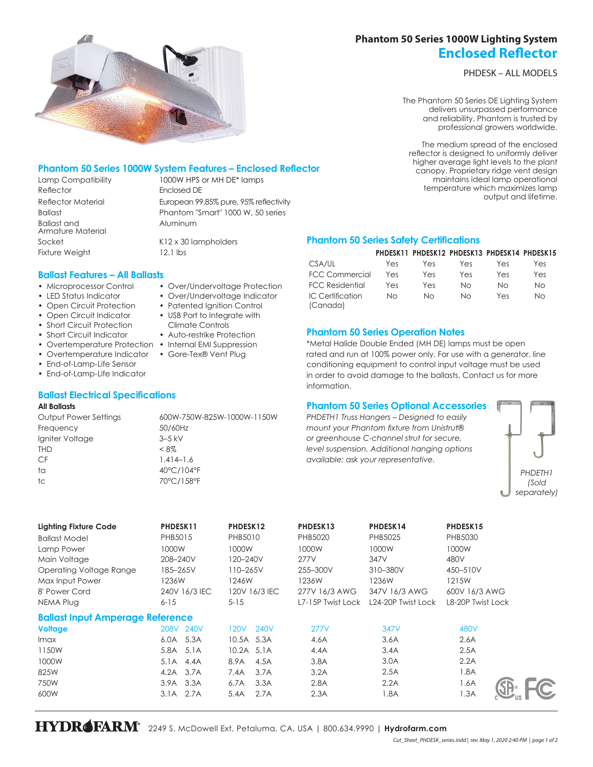# **Phantom 50 Series 1000W Lighting System Enclosed Reflector**

PHDESK – ALL MODELS

The Phantom 50 Series DE Lighting System delivers unsurpassed performance and reliability. Phantom is trusted by professional growers worldwide.

The medium spread of the enclosed reflector is designed to uniformly deliver higher average light levels to the plant canopy. Proprietary ridge vent design maintains ideal lamp operational temperature which maximizes lamp output and lifetime.

## **Phantom 50 Series 1000W System Features – Enclosed Reflector**

Reflector **Enclosed DE** Ballast and Armature Material Socket K12 x 30 lampholders Fixture Weight 12.1 lbs

Lamp Compatibility 1000W HPS or MH DE\* lamps Reflector Material European 99.85% pure, 95% reflectivity Ballast **Ballast** Phantom "Smart" 1000 W, 50 series Aluminum

**Ballast Features – All Ballasts**

- Microprocessor Control
- LED Status Indicator
- Open Circuit Protection
- Open Circuit Indicator
- Short Circuit Protection
- Short Circuit Indicator
- Overtemperature Protection Internal EMI Suppression
- Overtemperature Indicator Gore-Tex® Vent Plug
- End-of-Lamp-Life Sensor
- End-of-Lamp-Life Indicator

### **Ballast Electrical Specifications**

#### **All Ballasts**

Output Power Settings 600W-750W-825W-1000W-1150W Frequency 50/60Hz Igniter Voltage 3–5 kV THD  $< 8\%$ CF 1.414–1.6 ta 40°C/104°F tc 70°C/158°F

## **Phantom 50 Series Safety Certifications**

|                              |     | PHDESK11 PHDESK12 PHDESK13 PHDESK14 PHDESK15 |     |     |     |
|------------------------------|-----|----------------------------------------------|-----|-----|-----|
| CSA/UL                       | Yes | Yes                                          | Yes | Yes | Yes |
| <b>FCC Commercial</b>        | Yes | Yes                                          | Yes | Yes | Yes |
| <b>FCC Residential</b>       | Yes | Yes                                          | Nο  | Nο  | Νo  |
| IC Certification<br>(Canada) | Nο  | Nο                                           | NΩ  | Yes | Nο  |

### **Phantom 50 Series Operation Notes**

\*Metal Halide Double Ended (MH DE) lamps must be open rated and run at 100% power only. For use with a generator, line conditioning equipment to control input voltage must be used in order to avoid damage to the ballasts. Contact us for more information.

### **Phantom 50 Series Optional Accessories**

*PHDETH1 Truss Hangers – Designed to easily mount your Phantom fixture from Unistrut® or greenhouse C-channel strut for secure, level suspension. Additional hanging options available; ask your representative.*



| <b>Lighting Fixture Code</b><br><b>Ballast Model</b><br>Lamp Power<br>Main Voltage<br>Operating Voltage Range<br>Max Input Power<br>8' Power Cord<br>NEMA Plug | PHDESK11<br>PHB5015<br>1000W<br>208-240V<br>185–265V<br>1236W<br>240V 16/3 IEC<br>$6 - 15$ | PHDESK12<br>PHB5010<br>1000W<br>120-240V<br>110-265V<br>1246W<br>120V 16/3 IEC<br>$5 - 15$ | PHDESK13<br>PHB5020<br>1000W<br>277V<br>255-300V<br>1236W<br>277V 16/3 AWG<br>L7-15P Twist Lock | PHDESK14<br>PHB5025<br>1000W<br>347V<br>310-380V<br>1236W<br>347V 16/3 AWG<br>L <sub>24</sub> -20P Twist Lock | PHDESK15<br>PHB5030<br>1000W<br>480V<br>450-510V<br>1215W<br>600V 16/3 AWG<br>L8-20P Twist Lock |
|----------------------------------------------------------------------------------------------------------------------------------------------------------------|--------------------------------------------------------------------------------------------|--------------------------------------------------------------------------------------------|-------------------------------------------------------------------------------------------------|---------------------------------------------------------------------------------------------------------------|-------------------------------------------------------------------------------------------------|
| <b>Ballast Input Amperage Reference</b>                                                                                                                        |                                                                                            |                                                                                            |                                                                                                 |                                                                                                               |                                                                                                 |
| <b>Voltage</b>                                                                                                                                                 | <b>240V</b><br><b>208V</b>                                                                 | 120V<br>240V                                                                               | 277V                                                                                            | 347V                                                                                                          | 480V                                                                                            |
| <i>Imax</i>                                                                                                                                                    | 5.3A<br>6.0A                                                                               | 10.5A 5.3A                                                                                 | 4.6A                                                                                            | 3.6A                                                                                                          | 2.6A                                                                                            |
| 1150W                                                                                                                                                          | 5.1A<br>5.8A                                                                               | 10.2A 5.1A                                                                                 | 4.4A                                                                                            | 3.4A                                                                                                          | 2.5A                                                                                            |
| 1000W                                                                                                                                                          | 5.1A<br>4.4A                                                                               | 4.5A<br>8.9A                                                                               | 3.8A                                                                                            | 3.0A                                                                                                          | 2.2A                                                                                            |
| 825W                                                                                                                                                           | 3.7A<br>4.2A                                                                               | 3.7A<br>7.4A                                                                               | 3.2A                                                                                            | 2.5A                                                                                                          | 1.8A                                                                                            |
| 750W                                                                                                                                                           | 3.9A 3.3A                                                                                  | 3.3A<br>6.7A                                                                               | 2.8A                                                                                            | 2.2A                                                                                                          | 1.6A                                                                                            |
| 600W                                                                                                                                                           | 2.7A<br>3.1A                                                                               | 2.7A<br>5.4A                                                                               | 2.3A                                                                                            | 1.8A                                                                                                          | 1.3A                                                                                            |

- Over/Undervoltage Protection
- Over/Undervoltage Indicator
- Patented Ignition Control
- USB Port to Integrate with Climate Controls
- Auto-restrike Protection
- 
-